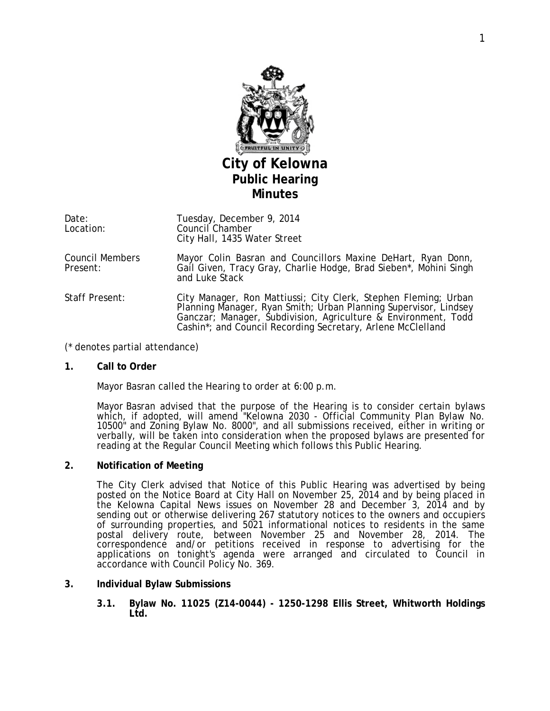

Date: Location: Tuesday, December 9, 2014 Council Chamber City Hall, 1435 Water Street

Council Members Present: Mayor Colin Basran and Councillors Maxine DeHart, Ryan Donn, Gail Given, Tracy Gray, Charlie Hodge, Brad Sieben\*, Mohini Singh and Luke Stack

Staff Present: City Manager, Ron Mattiussi; City Clerk, Stephen Fleming; Urban Planning Manager, Ryan Smith; Urban Planning Supervisor, Lindsey Ganczar; Manager, Subdivision, Agriculture & Environment, Todd Cashin\*; and Council Recording Secretary, Arlene McClelland

(\* denotes partial attendance)

### **1. Call to Order**

Mayor Basran called the Hearing to order at 6:00 p.m.

Mayor Basran advised that the purpose of the Hearing is to consider certain bylaws which, if adopted, will amend "*Kelowna 2030* - Official Community Plan Bylaw No. 10500" and Zoning Bylaw No. 8000", and all submissions received, either in writing or verbally, will be taken into consideration when the proposed bylaws are presented for reading at the Regular Council Meeting which follows this Public Hearing.

# **2. Notification of Meeting**

The City Clerk advised that Notice of this Public Hearing was advertised by being posted on the Notice Board at City Hall on November 25, 2014 and by being placed in the Kelowna Capital News issues on November 28 and December 3, 2014 and by sending out or otherwise delivering 267 statutory notices to the owners and occupiers of surrounding properties, and 5021 informational notices to residents in the same postal delivery route, between November 25 and November 28, 2014. The correspondence and/or petitions received in response to advertising for the applications on tonight's agenda were arranged and circulated to Council in accordance with Council Policy No. 369.

### **3. Individual Bylaw Submissions**

**3.1. Bylaw No. 11025 (Z14-0044) - 1250-1298 Ellis Street, Whitworth Holdings Ltd.**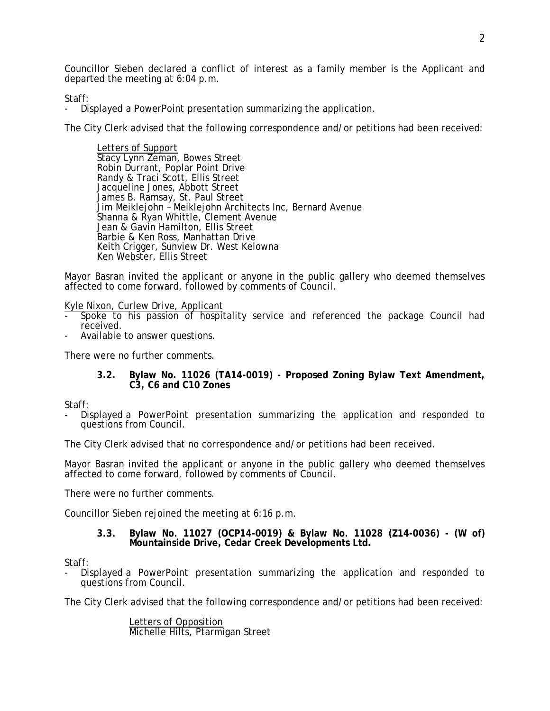Councillor Sieben declared a conflict of interest as a family member is the Applicant and departed the meeting at 6:04 p.m.

Staff:

- Displayed a PowerPoint presentation summarizing the application.

The City Clerk advised that the following correspondence and/or petitions had been received:

Stacy Lynn Zeman, Bowes Street Letters of Support Robin Durrant, Poplar Point Drive Randy & Traci Scott, Ellis Street Jacqueline Jones, Abbott Street James B. Ramsay, St. Paul Street Jim Meiklejohn – Meiklejohn Architects Inc, Bernard Avenue Shanna & Ryan Whittle, Clement Avenue Jean & Gavin Hamilton, Ellis Street Barbie & Ken Ross, Manhattan Drive Keith Crigger, Sunview Dr. West Kelowna Ken Webster, Ellis Street

Mayor Basran invited the applicant or anyone in the public gallery who deemed themselves affected to come forward, followed by comments of Council.

Kyle Nixon, Curlew Drive, Applicant

- Spoke to his passion of hospitality service and referenced the package Council had received.
- Available to answer questions.

There were no further comments.

**3.2. Bylaw No. 11026 (TA14-0019) - Proposed Zoning Bylaw Text Amendment, C3, C6 and C10 Zones**

Staff:

Displayed a PowerPoint presentation summarizing the application and responded to questions from Council.

The City Clerk advised that no correspondence and/or petitions had been received.

Mayor Basran invited the applicant or anyone in the public gallery who deemed themselves affected to come forward, followed by comments of Council.

There were no further comments.

Councillor Sieben rejoined the meeting at 6:16 p.m.

**3.3. Bylaw No. 11027 (OCP14-0019) & Bylaw No. 11028 (Z14-0036) - (W of) Mountainside Drive, Cedar Creek Developments Ltd.**

Staff:

Displayed a PowerPoint presentation summarizing the application and responded to questions from Council.

The City Clerk advised that the following correspondence and/or petitions had been received:

Michelle Hilts, Ptarmigan Street Letters of Opposition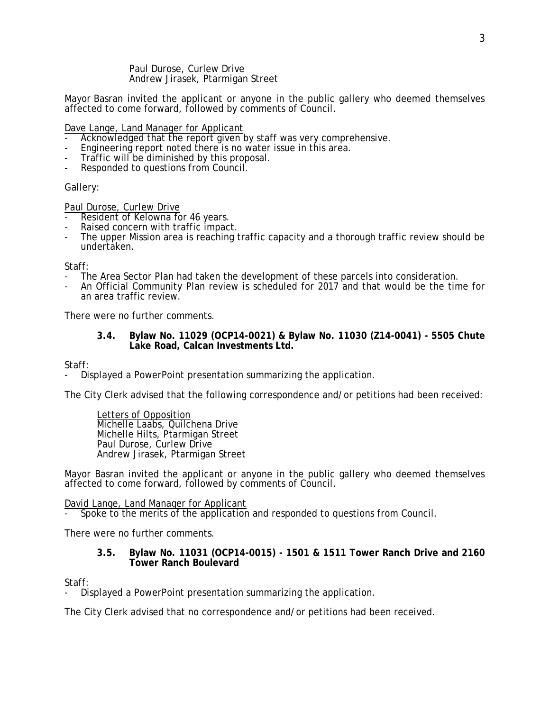Paul Durose, Curlew Drive Andrew Jirasek, Ptarmigan Street

Mayor Basran invited the applicant or anyone in the public gallery who deemed themselves affected to come forward, followed by comments of Council.

Dave Lange, Land Manager for Applicant

- Acknowledged that the report given by staff was very comprehensive.
- Engineering report noted there is no water issue in this area.
- Traffic will be diminished by this proposal.
- Responded to questions from Council.

## Gallery:

Paul Durose, Curlew Drive

- Resident of Kelowna for 46 years.<br>Raised concern with traffic impact.
- 
- The upper Mission area is reaching traffic capacity and a thorough traffic review should be undertaken.

### Staff:

- The Area Sector Plan had taken the development of these parcels into consideration.
- An Official Community Plan review is scheduled for 2017 and that would be the time for an area traffic review.

There were no further comments.

### **3.4. Bylaw No. 11029 (OCP14-0021) & Bylaw No. 11030 (Z14-0041) - 5505 Chute Lake Road, Calcan Investments Ltd.**

Staff:

- Displayed a PowerPoint presentation summarizing the application.

The City Clerk advised that the following correspondence and/or petitions had been received:

Michelle Laabs, Quilchena Drive Letters of Opposition Michelle Hilts, Ptarmigan Street Paul Durose, Curlew Drive Andrew Jirasek, Ptarmigan Street

Mayor Basran invited the applicant or anyone in the public gallery who deemed themselves affected to come forward, followed by comments of Council.

David Lange, Land Manager for Applicant

- Spoke to the merits of the application and responded to questions from Council.

There were no further comments.

## **3.5. Bylaw No. 11031 (OCP14-0015) - 1501 & 1511 Tower Ranch Drive and 2160 Tower Ranch Boulevard**

Staff:

- Displayed a PowerPoint presentation summarizing the application.

The City Clerk advised that no correspondence and/or petitions had been received.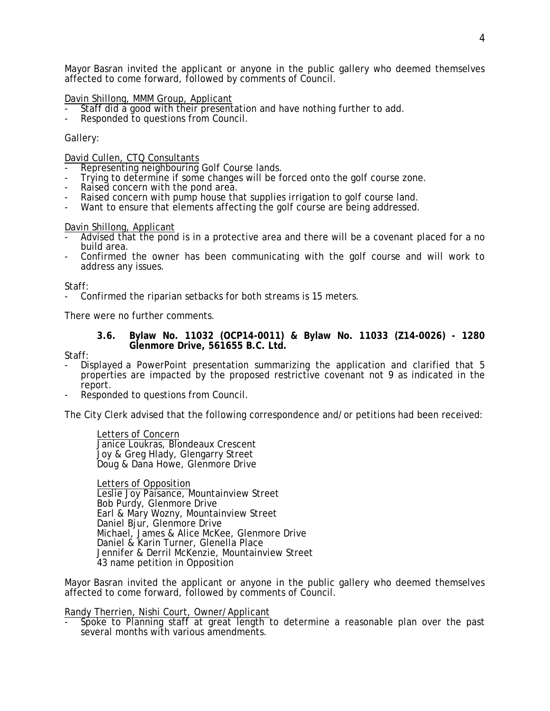Mayor Basran invited the applicant or anyone in the public gallery who deemed themselves affected to come forward, followed by comments of Council.

## Davin Shillong, MMM Group, Applicant

- Staff did a good with their presentation and have nothing further to add.
- Responded to questions from Council.

## Gallery:

## David Cullen, CTQ Consultants

- Representing neighbouring Golf Course lands.
- Trying to determine if some changes will be forced onto the golf course zone.<br>- Raised concern with the pond area.<br>- Raised concern with pump house that supplies irrigation to golf course land.
- 
- 
- Want to ensure that elements affecting the golf course are being addressed.

- Davin Shillong, Applicant<br>- Advised that the pond is in a protective area and there will be a covenant placed for a no<br>build area.
- Confirmed the owner has been communicating with the golf course and will work to address any issues.

### Staff:

- Confirmed the riparian setbacks for both streams is 15 meters.

There were no further comments.

## **3.6. Bylaw No. 11032 (OCP14-0011) & Bylaw No. 11033 (Z14-0026) - 1280 Glenmore Drive, 561655 B.C. Ltd.**

Staff:

- Displayed a PowerPoint presentation summarizing the application and clarified that 5 properties are impacted by the proposed restrictive covenant not 9 as indicated in the report.
- Responded to questions from Council.

The City Clerk advised that the following correspondence and/or petitions had been received:

Janice Loukras, Blondeaux Crescent Letters of Concern Joy & Greg Hlady, Glengarry Street Doug & Dana Howe, Glenmore Drive

Leslie Joy Paisance, Mountainview Street Letters of Opposition Bob Purdy, Glenmore Drive Earl & Mary Wozny, Mountainview Street Daniel Bjur, Glenmore Drive Michael, James & Alice McKee, Glenmore Drive Daniel & Karin Turner, Glenella Place Jennifer & Derril McKenzie, Mountainview Street 43 name petition in Opposition

Mayor Basran invited the applicant or anyone in the public gallery who deemed themselves affected to come forward, followed by comments of Council.

Randy Therrien, Nishi Court, Owner/Applicant

Spoke to Planning staff at great length to determine a reasonable plan over the past several months with various amendments.